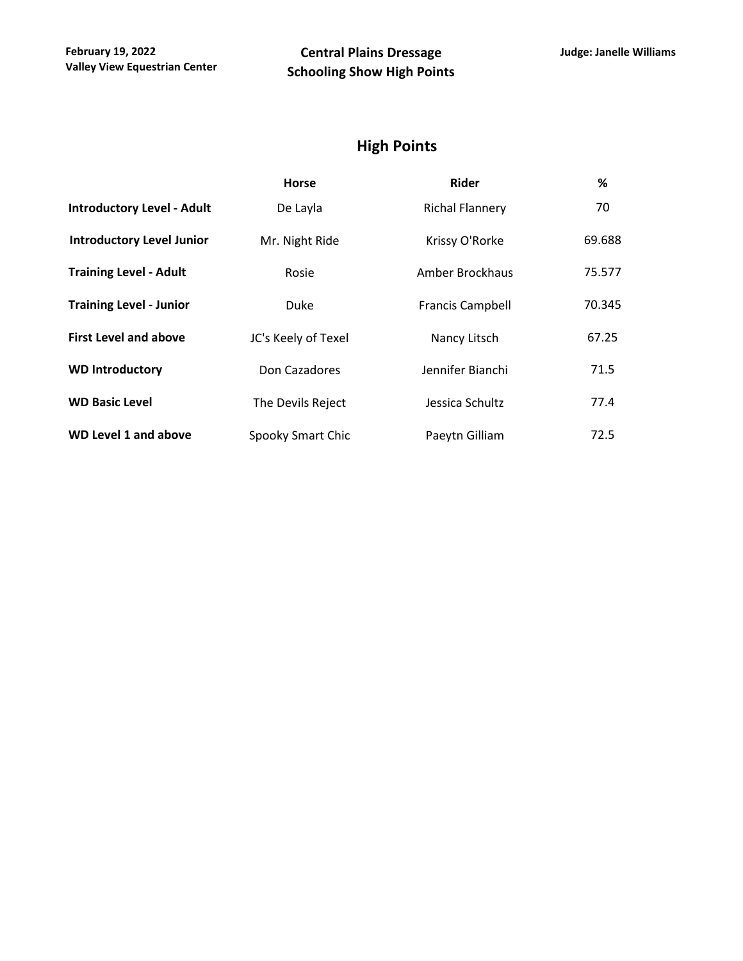# **High Points**

|                                   | <b>Horse</b>        | Rider                   | %      |
|-----------------------------------|---------------------|-------------------------|--------|
| <b>Introductory Level - Adult</b> | De Layla            | <b>Richal Flannery</b>  | 70     |
| <b>Introductory Level Junior</b>  | Mr. Night Ride      | Krissy O'Rorke          | 69.688 |
| <b>Training Level - Adult</b>     | Rosie               | Amber Brockhaus         | 75.577 |
| <b>Training Level - Junior</b>    | Duke                | <b>Francis Campbell</b> | 70.345 |
| <b>First Level and above</b>      | JC's Keely of Texel | Nancy Litsch            | 67.25  |
| <b>WD Introductory</b>            | Don Cazadores       | Jennifer Bianchi        | 71.5   |
| <b>WD Basic Level</b>             | The Devils Reject   | Jessica Schultz         | 77.4   |
| <b>WD Level 1 and above</b>       | Spooky Smart Chic   | Paeytn Gilliam          | 72.5   |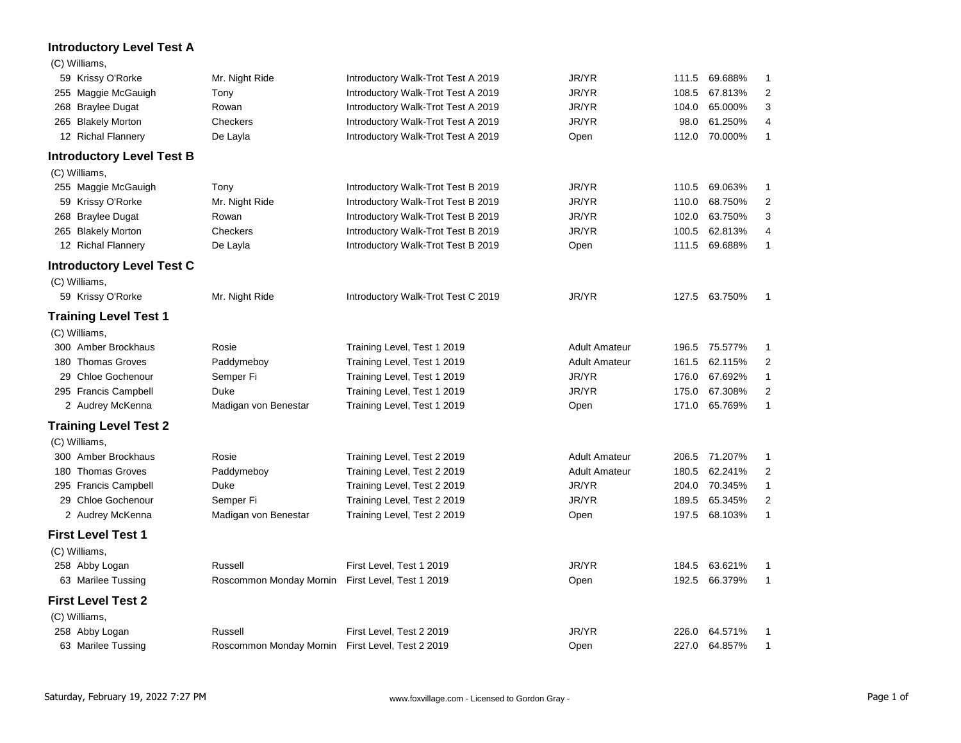#### **Introductory Level Test A**

(C) Williams,

| $(0, 1)$ . The set of $(0, 1)$   |                         |                                    |                      |              |               |                |
|----------------------------------|-------------------------|------------------------------------|----------------------|--------------|---------------|----------------|
| 59 Krissy O'Rorke                | Mr. Night Ride          | Introductory Walk-Trot Test A 2019 | JR/YR                | 111.5        | 69.688%       | -1             |
| 255 Maggie McGauigh              | Tony                    | Introductory Walk-Trot Test A 2019 | JR/YR                | 108.5        | 67.813%       | 2              |
| 268 Braylee Dugat                | Rowan                   | Introductory Walk-Trot Test A 2019 | JR/YR                | 104.0        | 65.000%       | 3              |
| 265 Blakely Morton               | Checkers                | Introductory Walk-Trot Test A 2019 | JR/YR                | 98.0         | 61.250%       | 4              |
| 12 Richal Flannery               | Open                    | 112.0                              | 70.000%              | $\mathbf{1}$ |               |                |
| <b>Introductory Level Test B</b> |                         |                                    |                      |              |               |                |
| (C) Williams,                    |                         |                                    |                      |              |               |                |
| 255 Maggie McGauigh              | Tony                    | Introductory Walk-Trot Test B 2019 | JR/YR                | 110.5        | 69.063%       | $\mathbf{1}$   |
| 59 Krissy O'Rorke                | Mr. Night Ride          | Introductory Walk-Trot Test B 2019 | JR/YR                | 110.0        | 68.750%       | 2              |
| 268 Braylee Dugat                | Rowan                   | Introductory Walk-Trot Test B 2019 | JR/YR                | 102.0        | 63.750%       | 3              |
| 265 Blakely Morton               | Checkers                | Introductory Walk-Trot Test B 2019 | JR/YR                | 100.5        | 62.813%       | 4              |
| 12 Richal Flannery               | De Layla                | Introductory Walk-Trot Test B 2019 | Open                 | 111.5        | 69.688%       | $\mathbf{1}$   |
| <b>Introductory Level Test C</b> |                         |                                    |                      |              |               |                |
| (C) Williams,                    |                         |                                    |                      |              |               |                |
| 59 Krissy O'Rorke                | Mr. Night Ride          | Introductory Walk-Trot Test C 2019 | JR/YR                |              | 127.5 63.750% | $\mathbf 1$    |
| <b>Training Level Test 1</b>     |                         |                                    |                      |              |               |                |
| (C) Williams,                    |                         |                                    |                      |              |               |                |
| 300 Amber Brockhaus              | Rosie                   | Training Level, Test 1 2019        | <b>Adult Amateur</b> | 196.5        | 75.577%       | -1             |
| 180 Thomas Groves                | Paddymeboy              | Training Level, Test 1 2019        | <b>Adult Amateur</b> | 161.5        | 62.115%       | $\overline{2}$ |
| 29 Chloe Gochenour               | Semper Fi               | Training Level, Test 1 2019        | JR/YR                | 176.0        | 67.692%       | $\mathbf{1}$   |
| 295 Francis Campbell             | Duke                    | Training Level, Test 1 2019        | JR/YR                | 175.0        | 67.308%       | 2              |
| 2 Audrey McKenna                 | Madigan von Benestar    | Training Level, Test 1 2019        | Open                 | 171.0        | 65.769%       | $\mathbf{1}$   |
| <b>Training Level Test 2</b>     |                         |                                    |                      |              |               |                |
| (C) Williams,                    |                         |                                    |                      |              |               |                |
| 300 Amber Brockhaus              | Rosie                   | Training Level, Test 2 2019        | <b>Adult Amateur</b> | 206.5        | 71.207%       | $\mathbf 1$    |
| 180 Thomas Groves                | Paddymeboy              | Training Level, Test 2 2019        | <b>Adult Amateur</b> | 180.5        | 62.241%       | $\overline{2}$ |
| 295 Francis Campbell             | Duke                    | Training Level, Test 2 2019        | JR/YR                | 204.0        | 70.345%       | $\mathbf{1}$   |
| 29 Chloe Gochenour               | Semper Fi               | Training Level, Test 2 2019        | JR/YR                | 189.5        | 65.345%       | 2              |
| 2 Audrey McKenna                 | Madigan von Benestar    | Training Level, Test 2 2019        | Open                 | 197.5        | 68.103%       | 1              |
| <b>First Level Test 1</b>        |                         |                                    |                      |              |               |                |
| (C) Williams,                    |                         |                                    |                      |              |               |                |
| 258 Abby Logan                   | Russell                 | First Level, Test 1 2019           | JR/YR                | 184.5        | 63.621%       | -1             |
| 63 Marilee Tussing               | Roscommon Monday Mornin | First Level, Test 1 2019           | Open                 | 192.5        | 66.379%       | $\mathbf{1}$   |
| <b>First Level Test 2</b>        |                         |                                    |                      |              |               |                |
| (C) Williams,                    |                         |                                    |                      |              |               |                |
| 258 Abby Logan                   | Russell                 | First Level, Test 2 2019           | JR/YR                | 226.0        | 64.571%       | 1              |
| 63 Marilee Tussing               | Roscommon Monday Mornin | First Level, Test 2 2019           | Open                 | 227.0        | 64.857%       | $\mathbf{1}$   |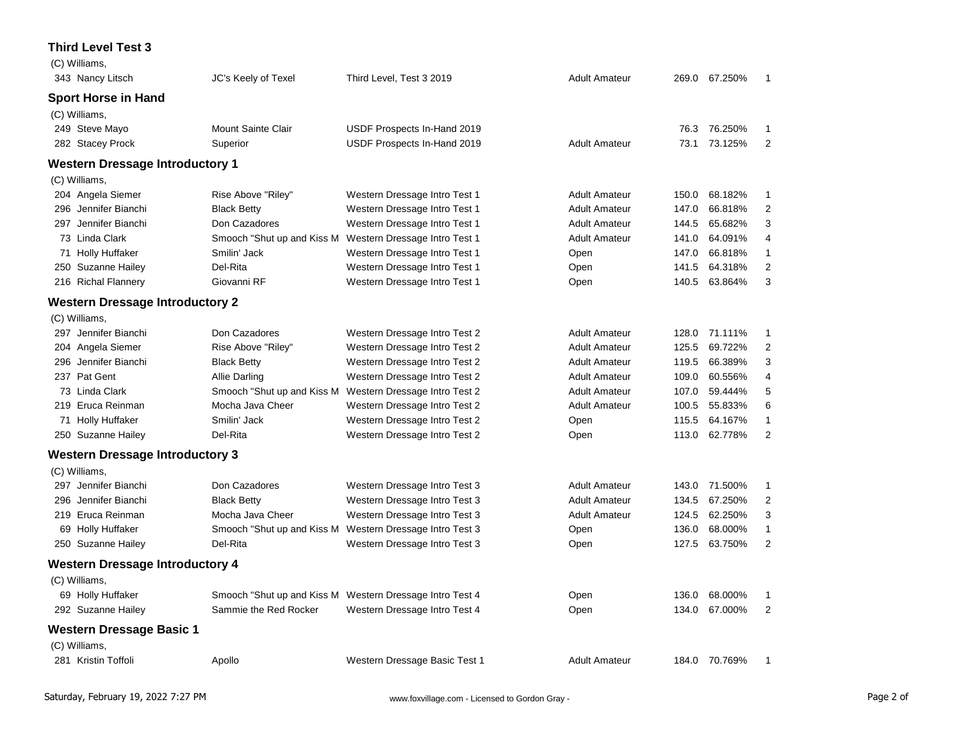#### **Third Level Test 3**  $($ C) Williams

| $(U)$ williams,                        |                            |                                                          |                      |       |               |                |
|----------------------------------------|----------------------------|----------------------------------------------------------|----------------------|-------|---------------|----------------|
| 343 Nancy Litsch                       | JC's Keely of Texel        | Third Level, Test 3 2019                                 | <b>Adult Amateur</b> |       | 269.0 67.250% | -1             |
| <b>Sport Horse in Hand</b>             |                            |                                                          |                      |       |               |                |
| (C) Williams,                          |                            |                                                          |                      |       |               |                |
| 249 Steve Mayo                         | Mount Sainte Clair         | USDF Prospects In-Hand 2019                              |                      | 76.3  | 76.250%       | 1              |
| 282 Stacey Prock                       | Superior                   | USDF Prospects In-Hand 2019                              | <b>Adult Amateur</b> | 73.1  | 73.125%       | $\overline{2}$ |
| <b>Western Dressage Introductory 1</b> |                            |                                                          |                      |       |               |                |
| (C) Williams,                          |                            |                                                          |                      |       |               |                |
| 204 Angela Siemer                      | Rise Above "Riley"         | Western Dressage Intro Test 1                            | <b>Adult Amateur</b> | 150.0 | 68.182%       | 1              |
| 296 Jennifer Bianchi                   | <b>Black Betty</b>         | Western Dressage Intro Test 1                            | <b>Adult Amateur</b> | 147.0 | 66.818%       | $\overline{2}$ |
| 297 Jennifer Bianchi                   | Don Cazadores              | Western Dressage Intro Test 1                            | <b>Adult Amateur</b> | 144.5 | 65.682%       | 3              |
| 73 Linda Clark                         | Smooch "Shut up and Kiss M | Western Dressage Intro Test 1                            | <b>Adult Amateur</b> | 141.0 | 64.091%       | 4              |
| 71 Holly Huffaker                      | Smilin' Jack               | Western Dressage Intro Test 1                            | Open                 | 147.0 | 66.818%       | $\mathbf{1}$   |
| 250 Suzanne Hailey                     | Del-Rita                   | Western Dressage Intro Test 1                            | Open                 | 141.5 | 64.318%       | $\overline{2}$ |
| 216 Richal Flannery                    | Giovanni RF                | Western Dressage Intro Test 1                            | Open                 | 140.5 | 63.864%       | 3              |
| <b>Western Dressage Introductory 2</b> |                            |                                                          |                      |       |               |                |
| (C) Williams,                          |                            |                                                          |                      |       |               |                |
| 297 Jennifer Bianchi                   | Don Cazadores              | Western Dressage Intro Test 2                            | <b>Adult Amateur</b> |       | 128.0 71.111% | 1              |
| 204 Angela Siemer                      | Rise Above "Riley"         | Western Dressage Intro Test 2                            | <b>Adult Amateur</b> | 125.5 | 69.722%       | $\overline{2}$ |
| 296 Jennifer Bianchi                   | <b>Black Betty</b>         | Western Dressage Intro Test 2                            | <b>Adult Amateur</b> | 119.5 | 66.389%       | 3              |
| 237 Pat Gent                           | <b>Allie Darling</b>       | Western Dressage Intro Test 2                            | <b>Adult Amateur</b> | 109.0 | 60.556%       | 4              |
| 73 Linda Clark                         | Smooch "Shut up and Kiss M | Western Dressage Intro Test 2                            | <b>Adult Amateur</b> | 107.0 | 59.444%       | 5              |
| 219 Eruca Reinman                      | Mocha Java Cheer           | Western Dressage Intro Test 2                            | <b>Adult Amateur</b> | 100.5 | 55.833%       | 6              |
| 71 Holly Huffaker                      | Smilin' Jack               | Western Dressage Intro Test 2                            | Open                 | 115.5 | 64.167%       | $\mathbf{1}$   |
| 250 Suzanne Hailey                     | Del-Rita                   | Western Dressage Intro Test 2                            | Open                 | 113.0 | 62.778%       | $\overline{2}$ |
| <b>Western Dressage Introductory 3</b> |                            |                                                          |                      |       |               |                |
| (C) Williams,                          |                            |                                                          |                      |       |               |                |
| 297 Jennifer Bianchi                   | Don Cazadores              | Western Dressage Intro Test 3                            | <b>Adult Amateur</b> | 143.0 | 71.500%       | 1              |
| 296 Jennifer Bianchi                   | <b>Black Betty</b>         | Western Dressage Intro Test 3                            | <b>Adult Amateur</b> | 134.5 | 67.250%       | $\overline{2}$ |
| 219 Eruca Reinman                      | Mocha Java Cheer           | Western Dressage Intro Test 3                            | <b>Adult Amateur</b> | 124.5 | 62.250%       | 3              |
| 69 Holly Huffaker                      | Smooch "Shut up and Kiss M | Western Dressage Intro Test 3                            | Open                 | 136.0 | 68.000%       | 1              |
| 250 Suzanne Hailey                     | Del-Rita                   | Western Dressage Intro Test 3                            | Open                 | 127.5 | 63.750%       | $\overline{2}$ |
| <b>Western Dressage Introductory 4</b> |                            |                                                          |                      |       |               |                |
| (C) Williams,                          |                            |                                                          |                      |       |               |                |
| 69 Holly Huffaker                      |                            | Smooch "Shut up and Kiss M Western Dressage Intro Test 4 | Open                 | 136.0 | 68.000%       | 1              |
| 292 Suzanne Hailey                     | Sammie the Red Rocker      | Western Dressage Intro Test 4                            | Open                 | 134.0 | 67.000%       | $\overline{2}$ |
| <b>Western Dressage Basic 1</b>        |                            |                                                          |                      |       |               |                |
| (C) Williams,                          |                            |                                                          |                      |       |               |                |
| 281 Kristin Toffoli                    | Apollo                     | Western Dressage Basic Test 1                            | <b>Adult Amateur</b> |       | 184.0 70.769% | 1              |
|                                        |                            |                                                          |                      |       |               |                |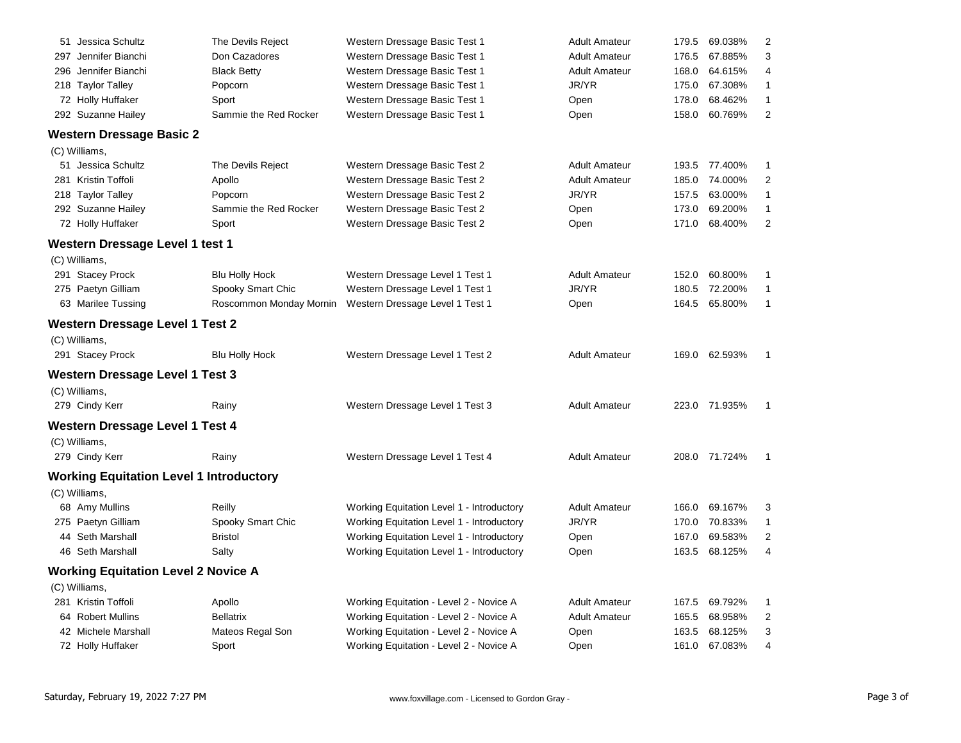| 51 Jessica Schultz                             | The Devils Reject       | Western Dressage Basic Test 1                                                      | <b>Adult Amateur</b> | 179.5 | 69.038%       | 2              |
|------------------------------------------------|-------------------------|------------------------------------------------------------------------------------|----------------------|-------|---------------|----------------|
| 297 Jennifer Bianchi                           | Don Cazadores           | Western Dressage Basic Test 1                                                      | <b>Adult Amateur</b> | 176.5 | 67.885%       | 3              |
| 296 Jennifer Bianchi                           | <b>Black Betty</b>      | Western Dressage Basic Test 1                                                      | <b>Adult Amateur</b> | 168.0 | 64.615%       | 4              |
| 218 Taylor Talley                              | Popcorn                 | Western Dressage Basic Test 1                                                      | JR/YR                | 175.0 | 67.308%       | $\mathbf{1}$   |
| 72 Holly Huffaker                              | Sport                   | Western Dressage Basic Test 1                                                      | Open                 | 178.0 | 68.462%       | 1              |
| 292 Suzanne Hailey                             | Sammie the Red Rocker   | Western Dressage Basic Test 1                                                      | Open                 | 158.0 | 60.769%       | $\overline{2}$ |
| <b>Western Dressage Basic 2</b>                |                         |                                                                                    |                      |       |               |                |
| (C) Williams,                                  |                         |                                                                                    |                      |       |               |                |
| 51 Jessica Schultz                             | The Devils Reject       | Western Dressage Basic Test 2                                                      | <b>Adult Amateur</b> |       | 193.5 77.400% | $\mathbf 1$    |
| 281 Kristin Toffoli                            | Apollo                  | Western Dressage Basic Test 2                                                      | <b>Adult Amateur</b> | 185.0 | 74.000%       | 2              |
| 218 Taylor Talley                              | Popcorn                 | Western Dressage Basic Test 2                                                      | JR/YR                | 157.5 | 63.000%       | 1              |
| 292 Suzanne Hailey                             | Sammie the Red Rocker   | Western Dressage Basic Test 2                                                      | Open                 | 173.0 | 69.200%       | $\mathbf{1}$   |
| 72 Holly Huffaker                              | Sport                   | Western Dressage Basic Test 2                                                      | Open                 | 171.0 | 68.400%       | $\overline{2}$ |
| Western Dressage Level 1 test 1                |                         |                                                                                    |                      |       |               |                |
| (C) Williams,                                  |                         |                                                                                    |                      |       |               |                |
| 291 Stacey Prock                               | <b>Blu Holly Hock</b>   | Western Dressage Level 1 Test 1                                                    | <b>Adult Amateur</b> | 152.0 | 60.800%       | 1              |
| 275 Paetyn Gilliam                             | Spooky Smart Chic       | Western Dressage Level 1 Test 1                                                    | JR/YR                | 180.5 | 72.200%       | 1              |
| 63 Marilee Tussing                             | Roscommon Monday Mornin | Western Dressage Level 1 Test 1                                                    | Open                 | 164.5 | 65.800%       | $\mathbf{1}$   |
| <b>Western Dressage Level 1 Test 2</b>         |                         |                                                                                    |                      |       |               |                |
| (C) Williams,                                  |                         |                                                                                    |                      |       |               |                |
| 291 Stacey Prock                               | <b>Blu Holly Hock</b>   | Western Dressage Level 1 Test 2                                                    | <b>Adult Amateur</b> |       | 169.0 62.593% | 1              |
| <b>Western Dressage Level 1 Test 3</b>         |                         |                                                                                    |                      |       |               |                |
| (C) Williams,                                  |                         |                                                                                    |                      |       |               |                |
| 279 Cindy Kerr                                 | Rainy                   | Western Dressage Level 1 Test 3                                                    | <b>Adult Amateur</b> |       | 223.0 71.935% | 1              |
| <b>Western Dressage Level 1 Test 4</b>         |                         |                                                                                    |                      |       |               |                |
| (C) Williams,                                  |                         |                                                                                    |                      |       |               |                |
| 279 Cindy Kerr                                 | Rainy                   | Western Dressage Level 1 Test 4                                                    | <b>Adult Amateur</b> |       | 208.0 71.724% | 1              |
| <b>Working Equitation Level 1 Introductory</b> |                         |                                                                                    |                      |       |               |                |
| (C) Williams,                                  |                         |                                                                                    |                      |       |               |                |
| 68 Amy Mullins                                 | Reilly                  | Working Equitation Level 1 - Introductory                                          | <b>Adult Amateur</b> | 166.0 | 69.167%       | 3              |
| 275 Paetyn Gilliam                             | Spooky Smart Chic       | Working Equitation Level 1 - Introductory                                          | JR/YR                | 170.0 | 70.833%       | 1              |
| 44 Seth Marshall                               | <b>Bristol</b>          | Working Equitation Level 1 - Introductory                                          | Open                 | 167.0 | 69.583%       | $\overline{2}$ |
| 46 Seth Marshall                               | Salty                   | Working Equitation Level 1 - Introductory                                          | Open                 | 163.5 | 68.125%       | 4              |
| <b>Working Equitation Level 2 Novice A</b>     |                         |                                                                                    |                      |       |               |                |
|                                                |                         |                                                                                    |                      |       |               |                |
| (C) Williams,<br>281 Kristin Toffoli           | Apollo                  |                                                                                    | <b>Adult Amateur</b> | 167.5 | 69.792%       | $\mathbf 1$    |
| 64 Robert Mullins                              | <b>Bellatrix</b>        | Working Equitation - Level 2 - Novice A<br>Working Equitation - Level 2 - Novice A | <b>Adult Amateur</b> | 165.5 | 68.958%       | 2              |
| 42 Michele Marshall                            | Mateos Regal Son        | Working Equitation - Level 2 - Novice A                                            | Open                 | 163.5 | 68.125%       | 3              |
| 72 Holly Huffaker                              | Sport                   | Working Equitation - Level 2 - Novice A                                            | Open                 | 161.0 | 67.083%       | 4              |
|                                                |                         |                                                                                    |                      |       |               |                |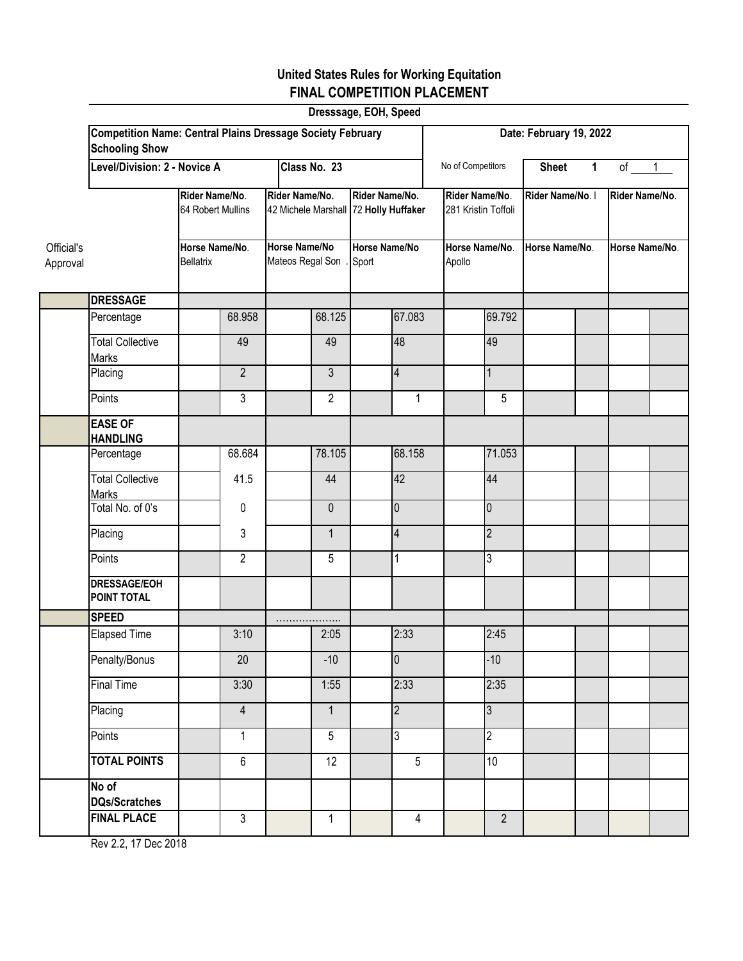### **United States Rules for Working Equitation FINAL COMPETITION PLACEMENT**

|                        |                                                                                            |                                     |                 |                                                         |                 | Dresssage, EOH, Speed         |                |                          |                                       |                |                  |                |                |  |  |
|------------------------|--------------------------------------------------------------------------------------------|-------------------------------------|-----------------|---------------------------------------------------------|-----------------|-------------------------------|----------------|--------------------------|---------------------------------------|----------------|------------------|----------------|----------------|--|--|
|                        | <b>Competition Name: Central Plains Dressage Society February</b><br><b>Schooling Show</b> |                                     |                 |                                                         |                 |                               |                | Date: February 19, 2022  |                                       |                |                  |                |                |  |  |
|                        | Level/Division: 2 - Novice A                                                               |                                     |                 |                                                         | Class No. 23    |                               |                |                          | No of Competitors                     |                | <b>Sheet</b>     | $\mathbf{1}$   | of $1$         |  |  |
|                        |                                                                                            | Rider Name/No.<br>64 Robert Mullins |                 | Rider Name/No.<br>42 Michele Marshall 72 Holly Huffaker |                 | Rider Name/No.                |                |                          | Rider Name/No.<br>281 Kristin Toffoli |                | Rider Name/No. I |                | Rider Name/No. |  |  |
| Official's<br>Approval |                                                                                            | Horse Name/No.<br><b>Bellatrix</b>  |                 | <b>Horse Name/No</b><br>Mateos Regal Son                |                 | <b>Horse Name/No</b><br>Sport |                | Horse Name/No.<br>Apollo |                                       | Horse Name/No. |                  | Horse Name/No. |                |  |  |
|                        | <b>DRESSAGE</b>                                                                            |                                     |                 |                                                         |                 |                               |                |                          |                                       |                |                  |                |                |  |  |
|                        | Percentage                                                                                 |                                     | 68.958          |                                                         | 68.125          |                               | 67.083         |                          |                                       | 69.792         |                  |                |                |  |  |
|                        | <b>Total Collective</b><br>Marks                                                           |                                     | 49              |                                                         | 49              |                               | 48             |                          |                                       | 49             |                  |                |                |  |  |
|                        | Placing                                                                                    |                                     | $\overline{2}$  |                                                         | 3               |                               | 4              |                          |                                       | 1              |                  |                |                |  |  |
|                        | Points                                                                                     |                                     | $\mathfrak{Z}$  |                                                         | $\overline{2}$  |                               | $\mathbf{1}$   |                          |                                       | 5              |                  |                |                |  |  |
|                        | <b>EASE OF</b><br><b>HANDLING</b>                                                          |                                     |                 |                                                         |                 |                               |                |                          |                                       |                |                  |                |                |  |  |
|                        | Percentage                                                                                 |                                     | 68.684          |                                                         | 78.105          |                               | 68.158         |                          |                                       | 71.053         |                  |                |                |  |  |
|                        | <b>Total Collective</b><br><b>Marks</b>                                                    |                                     | 41.5            |                                                         | 44              |                               | 42             |                          |                                       | 44             |                  |                |                |  |  |
|                        | Total No. of 0's                                                                           |                                     | $\pmb{0}$       |                                                         | $\mathbf 0$     |                               | 0              |                          |                                       | $\overline{0}$ |                  |                |                |  |  |
|                        | Placing                                                                                    |                                     | 3               |                                                         | $\mathbf{1}$    |                               | 4              |                          |                                       | $\overline{2}$ |                  |                |                |  |  |
|                        | Points                                                                                     |                                     | $\overline{2}$  |                                                         | 5               |                               | 1              |                          |                                       | 3              |                  |                |                |  |  |
|                        | <b>DRESSAGE/EOH</b><br>POINT TOTAL                                                         |                                     |                 |                                                         |                 |                               |                |                          |                                       |                |                  |                |                |  |  |
|                        | <b>SPEED</b>                                                                               |                                     |                 | .                                                       |                 |                               |                |                          |                                       |                |                  |                |                |  |  |
|                        | <b>Elapsed Time</b>                                                                        |                                     | 3:10            |                                                         | 2:05            |                               | 2:33           |                          |                                       | 2:45           |                  |                |                |  |  |
|                        | Penalty/Bonus                                                                              |                                     | $\overline{20}$ |                                                         | $-10$           |                               | 0              |                          |                                       | $-10$          |                  |                |                |  |  |
|                        | Final Time                                                                                 |                                     | 3:30            |                                                         | 1:55            |                               | 2:33           |                          |                                       | 2:35           |                  |                |                |  |  |
|                        | Placing                                                                                    |                                     | $\overline{4}$  |                                                         | $\mathbf{1}$    |                               | $\overline{2}$ |                          |                                       | $\overline{3}$ |                  |                |                |  |  |
|                        | Points                                                                                     |                                     | $\mathbf{1}$    |                                                         | 5               |                               | 3              |                          |                                       | $\overline{c}$ |                  |                |                |  |  |
|                        | <b>TOTAL POINTS</b>                                                                        |                                     | $6\phantom{a}$  |                                                         | $\overline{12}$ |                               | 5              |                          |                                       | 10             |                  |                |                |  |  |
|                        | No of<br><b>DQs/Scratches</b>                                                              |                                     |                 |                                                         |                 |                               |                |                          |                                       |                |                  |                |                |  |  |
|                        | <b>FINAL PLACE</b>                                                                         |                                     | $\overline{3}$  |                                                         | $\mathbf{1}$    |                               | 4              |                          |                                       | $\overline{2}$ |                  |                |                |  |  |

Rev 2.2, 17 Dec 2018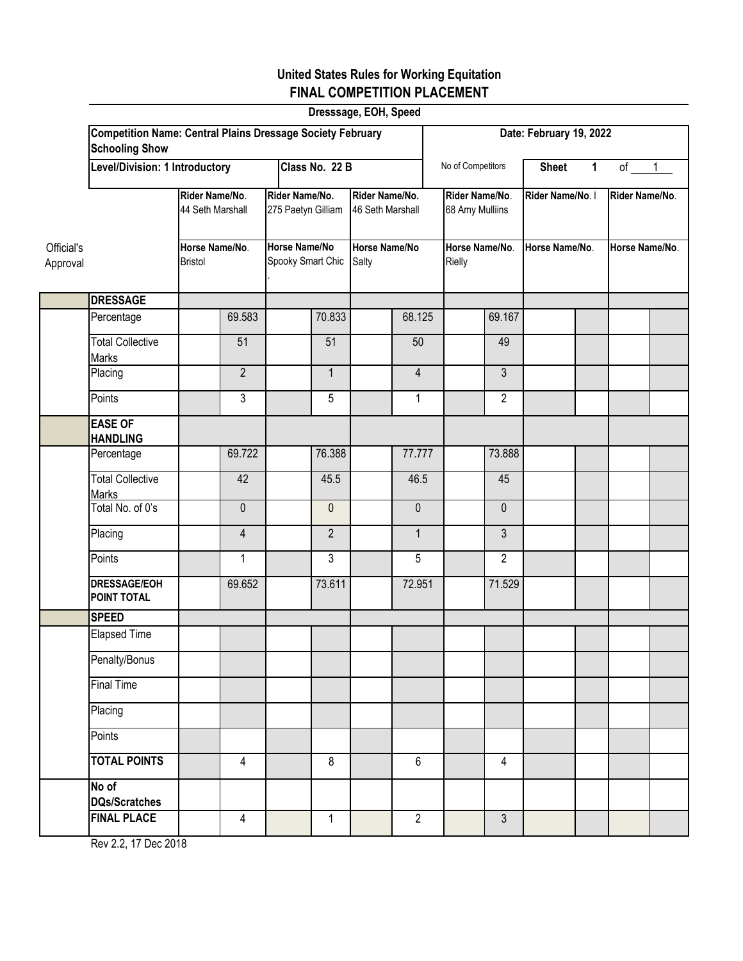### **United States Rules for Working Equitation FINAL COMPETITION PLACEMENT**

|                        |                                         |                                                                   |                |                                           |                                      | Dresssage, EOH, Speed         |                                    |                                   |                         |                  |              |                |  |  |  |  |
|------------------------|-----------------------------------------|-------------------------------------------------------------------|----------------|-------------------------------------------|--------------------------------------|-------------------------------|------------------------------------|-----------------------------------|-------------------------|------------------|--------------|----------------|--|--|--|--|
|                        | <b>Schooling Show</b>                   | <b>Competition Name: Central Plains Dressage Society February</b> |                |                                           |                                      |                               |                                    |                                   | Date: February 19, 2022 |                  |              |                |  |  |  |  |
|                        | <b>Level/Division: 1 Introductory</b>   |                                                                   |                |                                           | Class No. 22 B                       |                               |                                    | No of Competitors                 |                         | <b>Sheet</b>     | $\mathbf{1}$ | of $1$         |  |  |  |  |
|                        |                                         | Rider Name/No.<br>44 Seth Marshall                                |                |                                           | Rider Name/No.<br>275 Paetyn Gilliam |                               | Rider Name/No.<br>46 Seth Marshall | Rider Name/No.<br>68 Amy Mulliins |                         | Rider Name/No. I |              | Rider Name/No. |  |  |  |  |
| Official's<br>Approval |                                         | Horse Name/No.<br><b>Bristol</b>                                  |                | <b>Horse Name/No</b><br>Spooky Smart Chic |                                      | <b>Horse Name/No</b><br>Salty |                                    | Horse Name/No.<br>Rielly          |                         | Horse Name/No.   |              | Horse Name/No. |  |  |  |  |
|                        | <b>DRESSAGE</b>                         |                                                                   |                |                                           |                                      |                               |                                    |                                   |                         |                  |              |                |  |  |  |  |
|                        | Percentage                              |                                                                   | 69.583         |                                           | 70.833                               |                               | 68.125                             |                                   | 69.167                  |                  |              |                |  |  |  |  |
|                        | <b>Total Collective</b><br><b>Marks</b> |                                                                   | 51             |                                           | 51                                   |                               | 50                                 |                                   | 49                      |                  |              |                |  |  |  |  |
|                        | Placing                                 |                                                                   | $\overline{2}$ |                                           | $\mathbf{1}$                         |                               | $\overline{4}$                     |                                   | 3                       |                  |              |                |  |  |  |  |
|                        | Points                                  |                                                                   | 3              |                                           | 5                                    |                               | $\mathbf{1}$                       |                                   | $\overline{2}$          |                  |              |                |  |  |  |  |
|                        | <b>EASE OF</b><br><b>HANDLING</b>       |                                                                   |                |                                           |                                      |                               |                                    |                                   |                         |                  |              |                |  |  |  |  |
|                        | Percentage                              |                                                                   | 69.722         |                                           | 76.388                               |                               | 77.777                             |                                   | 73.888                  |                  |              |                |  |  |  |  |
|                        | <b>Total Collective</b><br><b>Marks</b> |                                                                   | 42             |                                           | 45.5                                 |                               | 46.5                               |                                   | 45                      |                  |              |                |  |  |  |  |
|                        | Total No. of 0's                        |                                                                   | $\mathbf 0$    |                                           | $\mathbf 0$                          |                               | $\mathbf 0$                        |                                   | $\mathbf{0}$            |                  |              |                |  |  |  |  |
|                        | Placing                                 |                                                                   | $\overline{4}$ |                                           | $\overline{2}$                       |                               | $\mathbf{1}$                       |                                   | 3                       |                  |              |                |  |  |  |  |
|                        | Points                                  |                                                                   | $\mathbf{1}$   |                                           | 3                                    |                               | 5                                  |                                   | $\mathbf{2}$            |                  |              |                |  |  |  |  |
|                        | <b>DRESSAGE/EOH</b><br>POINT TOTAL      |                                                                   | 69.652         |                                           | 73.611                               |                               | 72.951                             |                                   | 71.529                  |                  |              |                |  |  |  |  |
|                        | <b>SPEED</b>                            |                                                                   |                |                                           |                                      |                               |                                    |                                   |                         |                  |              |                |  |  |  |  |
|                        | <b>Elapsed Time</b>                     |                                                                   |                |                                           |                                      |                               |                                    |                                   |                         |                  |              |                |  |  |  |  |
|                        | Penalty/Bonus                           |                                                                   |                |                                           |                                      |                               |                                    |                                   |                         |                  |              |                |  |  |  |  |
|                        | <b>Final Time</b>                       |                                                                   |                |                                           |                                      |                               |                                    |                                   |                         |                  |              |                |  |  |  |  |
|                        | Placing                                 |                                                                   |                |                                           |                                      |                               |                                    |                                   |                         |                  |              |                |  |  |  |  |
|                        | Points                                  |                                                                   |                |                                           |                                      |                               |                                    |                                   |                         |                  |              |                |  |  |  |  |
|                        | <b>TOTAL POINTS</b>                     |                                                                   | 4              |                                           | 8                                    |                               | $6\phantom{1}6$                    |                                   | 4                       |                  |              |                |  |  |  |  |
|                        | No of<br><b>DQs/Scratches</b>           |                                                                   |                |                                           |                                      |                               |                                    |                                   |                         |                  |              |                |  |  |  |  |
|                        | <b>FINAL PLACE</b>                      |                                                                   | 4              |                                           | $\mathbf{1}$                         |                               | $\overline{2}$                     |                                   | $\mathfrak{Z}$          |                  |              |                |  |  |  |  |

Rev 2.2, 17 Dec 2018